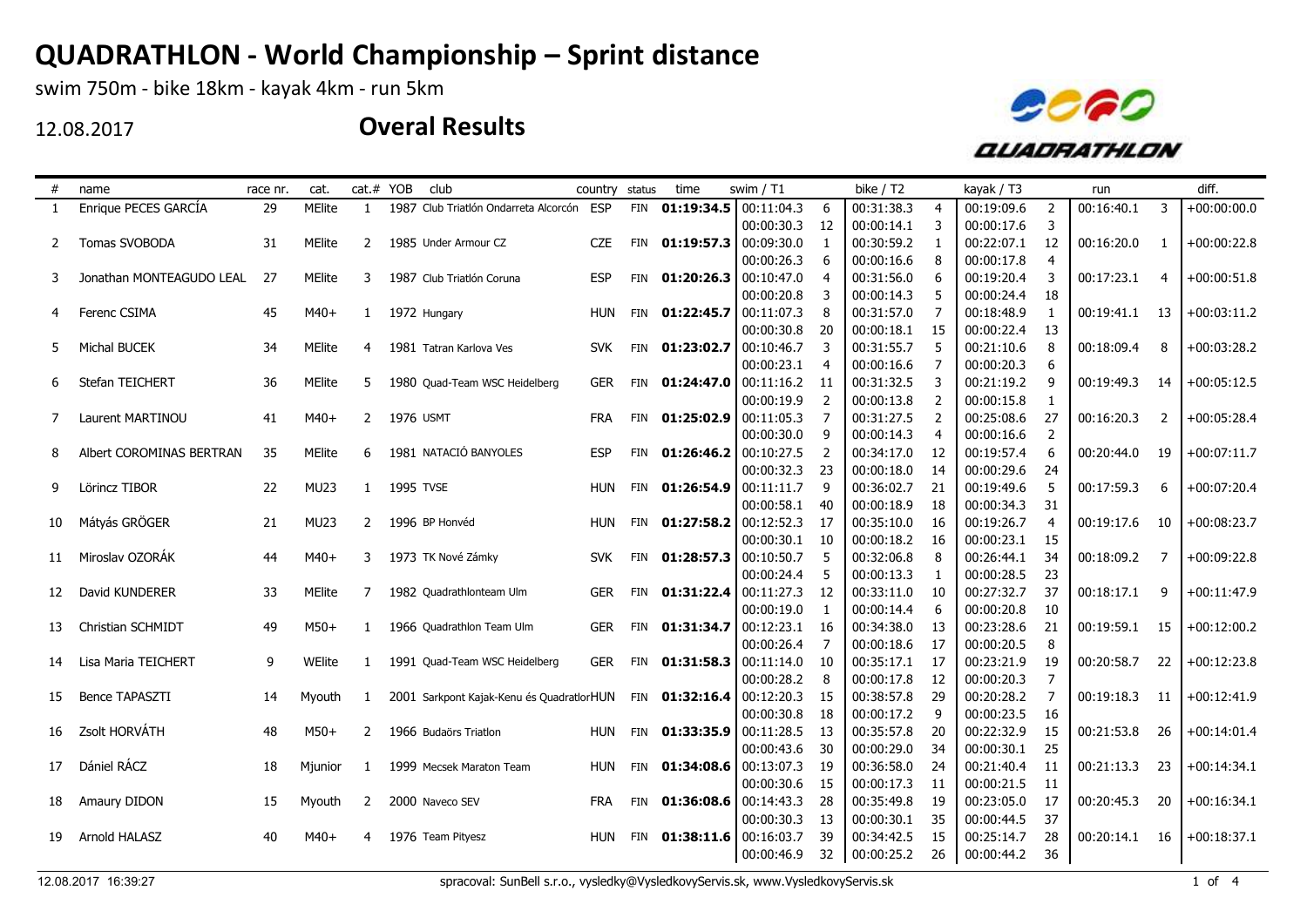swim 750m - bike 18km - kayak 4km - run 5km

12.08.2017



| #  | name                     | race nr. | cat.          |                | cat.# YOB        | club                                       | country    | status     | time           | swim / T1                   |     | bike / T2  |    | kayak / T3 |                | run        |                | diff.         |
|----|--------------------------|----------|---------------|----------------|------------------|--------------------------------------------|------------|------------|----------------|-----------------------------|-----|------------|----|------------|----------------|------------|----------------|---------------|
|    | Enrique PECES GARCÍA     | 29       | <b>MElite</b> | $\mathbf{1}$   |                  | 1987 Club Triatlón Ondarreta Alcorcón ESP  |            | FIN        |                | $01:19:34.5$ 00:11:04.3     | 6   | 00:31:38.3 | 4  | 00:19:09.6 |                | 00:16:40.1 | 3              | $+00:00:00.0$ |
|    |                          |          |               |                |                  |                                            |            |            |                | 00:00:30.3                  | 12  | 00:00:14.1 | 3  | 00:00:17.6 | 3              |            |                |               |
| 2  | Tomas SVOBODA            | 31       | <b>MElite</b> | 2              |                  | 1985 Under Armour CZ                       | <b>CZE</b> |            |                | FIN 01:19:57.3 00:09:30.0   | 1   | 00:30:59.2 |    | 00:22:07.1 | 12             | 00:16:20.0 | -1             | $+00:00:22.8$ |
|    |                          |          |               |                |                  |                                            |            |            |                | 00:00:26.3                  | 6   | 00:00:16.6 | 8  | 00:00:17.8 | $\overline{4}$ |            |                |               |
| 3  | Jonathan MONTEAGUDO LEAL | 27       | <b>MElite</b> | 3              |                  | 1987 Club Triatlón Coruna                  | <b>ESP</b> |            | FIN 01:20:26.3 | 00:10:47.0                  |     | 00:31:56.0 | 6  | 00:19:20.4 | 3              | 00:17:23.1 | 4              | $+00:00:51.8$ |
|    |                          |          |               |                |                  |                                            |            |            |                | 00:00:20.8                  | 3   | 00:00:14.3 |    | 00:00:24.4 | 18             |            |                |               |
| 4  | Ferenc CSIMA             | 45       | $M40+$        | $\mathbf{1}$   |                  | 1972 Hungary                               | <b>HUN</b> |            | FIN 01:22:45.7 | 00:11:07.3                  | 8   | 00:31:57.0 |    | 00:18:48.9 |                | 00:19:41.1 | 13             | $+00:03:11.2$ |
|    |                          |          |               |                |                  |                                            |            |            |                | 00:00:30.8                  | 20  | 00:00:18.1 | 15 | 00:00:22.4 | 13             |            |                |               |
| 5  | Michal BUCEK             | 34       | MElite        | 4              |                  | 1981 Tatran Karlova Ves                    | <b>SVK</b> |            | FIN 01:23:02.7 | 00:10:46.7                  | 3   | 00:31:55.7 |    | 00:21:10.6 | 8              | 00:18:09.4 | 8              | $+00:03:28.2$ |
|    |                          |          |               |                |                  |                                            |            |            |                | 00:00:23.1                  |     | 00:00:16.6 |    | 00:00:20.3 | 6              |            |                |               |
| 6  | Stefan TEICHERT          | 36       | MElite        | 5              |                  | 1980 Quad-Team WSC Heidelberg              | <b>GER</b> |            | FIN 01:24:47.0 | 00:11:16.2                  | 11  | 00:31:32.5 |    | 00:21:19.2 | 9              | 00:19:49.3 | 14             | $+00:05:12.5$ |
|    |                          |          |               |                |                  |                                            |            |            |                | 00:00:19.9                  | 2   | 00:00:13.8 |    | 00:00:15.8 | 1              |            |                |               |
|    | Laurent MARTINOU         | 41       | $M40+$        | $\overline{2}$ | <b>1976 USMT</b> |                                            | <b>FRA</b> |            | FIN 01:25:02.9 | 00:11:05.3                  | 7   | 00:31:27.5 | 2  | 00:25:08.6 | 27             | 00:16:20.3 | $\overline{2}$ | $+00:05:28.4$ |
|    |                          |          |               |                |                  |                                            |            |            |                | 00:00:30.0                  | 9   | 00:00:14.3 | 4  | 00:00:16.6 | 2              |            |                |               |
| 8  | Albert COROMINAS BERTRAN | 35       | <b>MElite</b> | 6              |                  | 1981 NATACIÓ BANYOLES                      | <b>ESP</b> |            | FIN 01:26:46.2 | 00:10:27.5                  | 2   | 00:34:17.0 | 12 | 00:19:57.4 | 6              | 00:20:44.0 | 19             | $+00:07:11.7$ |
|    |                          |          |               |                |                  |                                            |            |            |                | 00:00:32.3                  | 23  | 00:00:18.0 | 14 | 00:00:29.6 | 24             |            |                |               |
| 9  | Lörincz TIBOR            | 22       | MU23          |                | 1 1995 TVSE      |                                            | <b>HUN</b> |            | FIN 01:26:54.9 | 00:11:11.7                  | 9   | 00:36:02.7 | 21 | 00:19:49.6 | 5              | 00:17:59.3 | 6              | $+00:07:20.4$ |
|    |                          |          |               |                |                  |                                            |            |            |                | 00:00:58.1                  | 40  | 00:00:18.9 | 18 | 00:00:34.3 | 31             |            |                |               |
| 10 | Mátyás GRÖGER            | 21       | <b>MU23</b>   | 2              |                  | 1996 BP Honvéd                             | HUN        |            | FIN 01:27:58.2 | 00:12:52.3                  | 17  | 00:35:10.0 | 16 | 00:19:26.7 | 4              | 00:19:17.6 | 10             | $+00:08:23.7$ |
|    |                          |          |               |                |                  |                                            |            |            |                | 00:00:30.1                  | 10  | 00:00:18.2 | 16 | 00:00:23.1 | 15             |            |                |               |
| 11 | Miroslav OZORÁK          | 44       | $M40+$        | 3              |                  | 1973 TK Nové Zámky                         | <b>SVK</b> |            |                | FIN 01:28:57.3 00:10:50.7   | 5   | 00:32:06.8 | 8  | 00:26:44.1 | 34             | 00:18:09.2 | 7              | $+00:09:22.8$ |
|    |                          |          |               |                |                  |                                            |            |            |                | 00:00:24.4                  | 5   | 00:00:13.3 |    | 00:00:28.5 | 23             |            |                |               |
| 12 | David KUNDERER           | 33       | <b>MElite</b> | 7              |                  | 1982 Quadrathlonteam Ulm                   | <b>GER</b> |            |                | FIN $01:31:22.4$ 00:11:27.3 | 12  | 00:33:11.0 | 10 | 00:27:32.7 | 37             | 00:18:17.1 | -9             | $+00:11:47.9$ |
|    |                          |          |               |                |                  |                                            |            |            |                | 00:00:19.0                  | 1   | 00:00:14.4 | 6  | 00:00:20.8 | 10             |            |                |               |
| 13 | Christian SCHMIDT        | 49       | $M50+$        | $\mathbf{1}$   |                  | 1966 Quadrathlon Team Ulm                  | <b>GER</b> |            | FIN 01:31:34.7 | 00:12:23.1                  | -16 | 00:34:38.0 | 13 | 00:23:28.6 | 21             | 00:19:59.1 | -15            | $+00:12:00.2$ |
|    |                          |          |               |                |                  |                                            |            |            |                | 00:00:26.4                  | 7   | 00:00:18.6 | 17 | 00:00:20.5 | 8              |            |                |               |
| 14 | Lisa Maria TEICHERT      | 9        | WElite        | 1              |                  | 1991 Quad-Team WSC Heidelberg              | <b>GER</b> |            | FIN 01:31:58.3 | 00:11:14.0                  | 10  | 00:35:17.1 | 17 | 00:23:21.9 | 19             | 00:20:58.7 | 22             | $+00:12:23.8$ |
|    |                          |          |               |                |                  |                                            |            |            |                | 00:00:28.2                  | 8   | 00:00:17.8 | 12 | 00:00:20.3 | 7              |            |                |               |
| 15 | Bence TAPASZTI           | 14       | Myouth        | 1              |                  | 2001 Sarkpont Kajak-Kenu és Quadratlor HUN |            |            | FIN 01:32:16.4 | 00:12:20.3                  | 15  | 00:38:57.8 | 29 | 00:20:28.2 |                | 00:19:18.3 | 11             | $+00:12:41.9$ |
|    |                          |          |               |                |                  |                                            |            |            |                | 00:00:30.8                  | 18  | 00:00:17.2 | 9  | 00:00:23.5 | 16             |            |                |               |
| 16 | Zsolt HORVÁTH            | 48       | $M50+$        | 2              |                  | 1966 Budaörs Triatlon                      | <b>HUN</b> |            | FIN 01:33:35.9 | 00:11:28.5                  | 13  | 00:35:57.8 | 20 | 00:22:32.9 | 15             | 00:21:53.8 | 26             | $+00:14:01.4$ |
|    |                          |          |               |                |                  |                                            |            |            |                | 00:00:43.6                  | 30  | 00:00:29.0 | 34 | 00:00:30.1 | 25             |            |                |               |
| 17 | Dániel RÁCZ              | 18       | Mjunior       | 1              |                  | 1999 Mecsek Maraton Team                   | <b>HUN</b> | <b>FIN</b> | 01:34:08.6     | 00:13:07.3                  | 19  | 00:36:58.0 | 24 | 00:21:40.4 | 11             | 00:21:13.3 | 23             | $+00:14:34.1$ |
|    |                          |          |               |                |                  |                                            |            |            |                | 00:00:30.6                  | 15  | 00:00:17.3 | 11 | 00:00:21.5 | 11             |            |                |               |
| 18 | Amaury DIDON             | 15       | Myouth        | 2              |                  | 2000 Naveco SEV                            | <b>FRA</b> |            | FIN 01:36:08.6 | 00:14:43.3                  | 28  | 00:35:49.8 | 19 | 00:23:05.0 | 17             | 00:20:45.3 | 20             | $+00:16:34.1$ |
|    |                          |          |               |                |                  |                                            |            |            |                | 00:00:30.3                  | 13  | 00:00:30.1 | 35 | 00:00:44.5 | 37             |            |                |               |
| 19 | Arnold HALASZ            | 40       | $M40+$        | 4              |                  | 1976 Team Pityesz                          | <b>HUN</b> |            | FIN 01:38:11.6 | 00:16:03.7                  | 39  | 00:34:42.5 | 15 | 00:25:14.7 | 28             | 00:20:14.1 | 16             | $+00:18:37.1$ |
|    |                          |          |               |                |                  |                                            |            |            |                | 00:00:46.9                  | 32  | 00:00:25.2 | 26 | 00:00:44.2 | 36             |            |                |               |
|    |                          |          |               |                |                  |                                            |            |            |                |                             |     |            |    |            |                |            |                |               |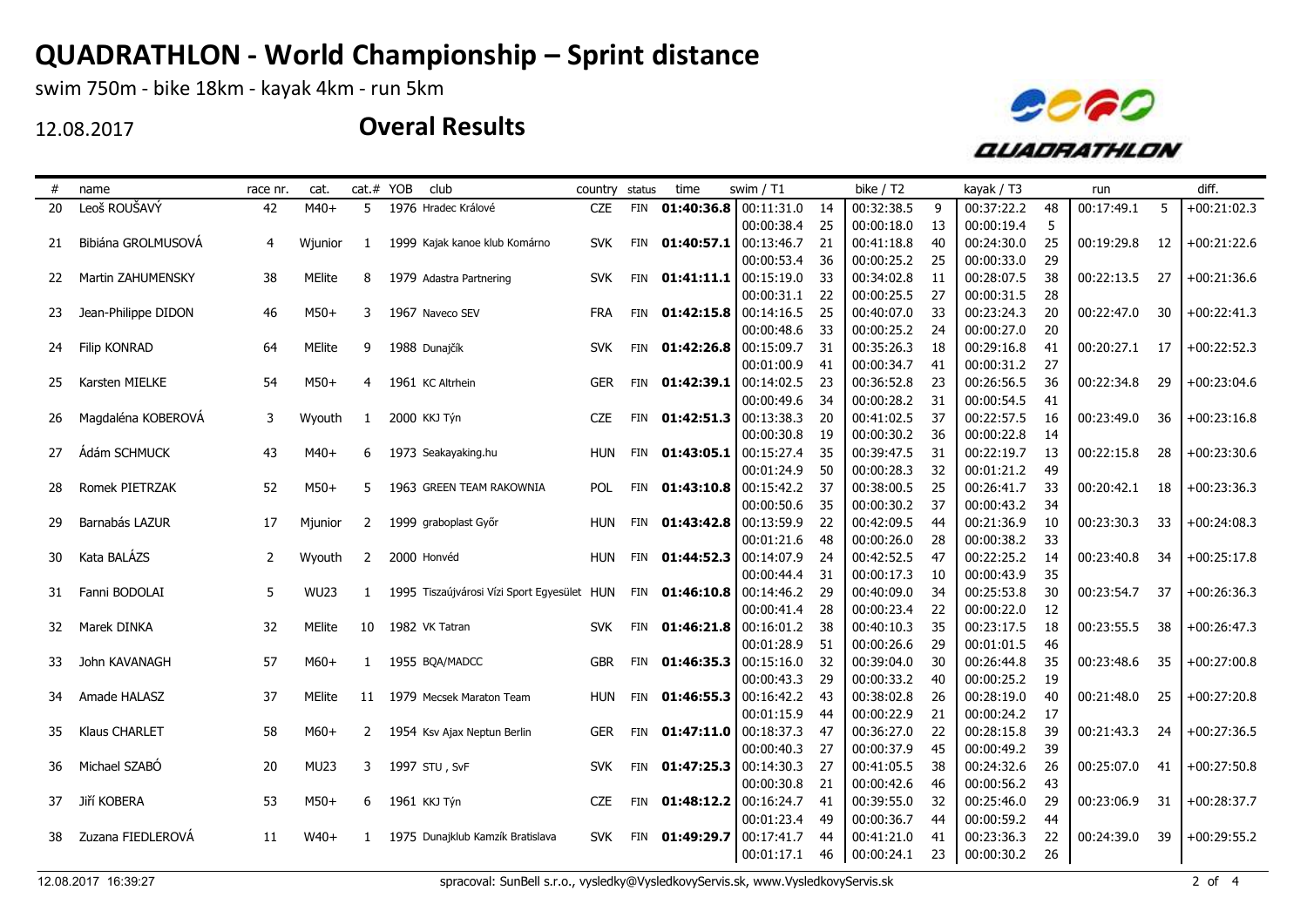swim 750m - bike 18km - kayak 4km - run 5km

12.08.2017



| #  | name                | race nr.       | cat.          |                | cat.# YOB | club                                        | country status | time           | swim $/ T1$                 |    | bike / T2  |    | kayak / T3 |    | run        |     | diff.         |
|----|---------------------|----------------|---------------|----------------|-----------|---------------------------------------------|----------------|----------------|-----------------------------|----|------------|----|------------|----|------------|-----|---------------|
| 20 | Leoš ROUŠAVÝ        | 42             | $M40+$        | 5              |           | 1976 Hradec Králové                         | <b>CZE</b>     |                | FIN 01:40:36.8 00:11:31.0   | 14 | 00:32:38.5 | 9  | 00:37:22.2 | 48 | 00:17:49.1 | 5   | $+00:21:02.3$ |
|    |                     |                |               |                |           |                                             |                |                | 00:00:38.4                  | 25 | 00:00:18.0 | 13 | 00:00:19.4 | 5  |            |     |               |
| 21 | Bibiána GROLMUSOVÁ  | 4              | Wjunior       | 1              |           | 1999 Kajak kanoe klub Komárno               | <b>SVK</b>     |                | FIN $01:40:57.1$ 00:13:46.7 | 21 | 00:41:18.8 | 40 | 00:24:30.0 | 25 | 00:19:29.8 | 12  | $+00:21:22.6$ |
|    |                     |                |               |                |           |                                             |                |                | 00:00:53.4                  | 36 | 00:00:25.2 | 25 | 00:00:33.0 | 29 |            |     |               |
| 22 | Martin ZAHUMENSKY   | 38             | <b>MElite</b> | 8              |           | 1979 Adastra Partnering                     | <b>SVK</b>     | FIN 01:41:11.1 | 00:15:19.0                  | 33 | 00:34:02.8 | 11 | 00:28:07.5 | 38 | 00:22:13.5 | 27  | $+00:21:36.6$ |
|    |                     |                |               |                |           |                                             |                |                | 00:00:31.1                  | 22 | 00:00:25.5 | 27 | 00:00:31.5 | 28 |            |     |               |
| 23 | Jean-Philippe DIDON | 46             | $M50+$        | 3              |           | 1967 Naveco SEV                             | <b>FRA</b>     | FIN 01:42:15.8 | 00:14:16.5                  | 25 | 00:40:07.0 | 33 | 00:23:24.3 | 20 | 00:22:47.0 | 30  | $+00:22:41.3$ |
|    |                     |                |               |                |           |                                             |                |                | 00:00:48.6                  | 33 | 00:00:25.2 | 24 | 00:00:27.0 | 20 |            |     |               |
| 24 | Filip KONRAD        | 64             | MElite        | 9              |           | 1988 Dunajčík                               | <b>SVK</b>     | FIN 01:42:26.8 | 00:15:09.7                  | 31 | 00:35:26.3 | 18 | 00:29:16.8 | 41 | 00:20:27.1 | 17  | $+00:22:52.3$ |
|    |                     |                |               |                |           |                                             |                |                | 00:01:00.9                  | 41 | 00:00:34.7 | 41 | 00:00:31.2 | 27 |            |     |               |
| 25 | Karsten MIELKE      | 54             | $M50+$        | 4              |           | 1961 KC Altrhein                            | <b>GER</b>     | FIN 01:42:39.1 | 00:14:02.5                  | 23 | 00:36:52.8 | 23 | 00:26:56.5 | 36 | 00:22:34.8 | 29  | $+00:23:04.6$ |
|    |                     |                |               |                |           |                                             |                |                | 00:00:49.6                  | 34 | 00:00:28.2 | 31 | 00:00:54.5 | 41 |            |     |               |
| 26 | Magdaléna KOBEROVÁ  | 3              | Wyouth        | $\mathbf{1}$   |           | 2000 KKJ Týn                                | <b>CZE</b>     |                | FIN $01:42:51.3$ 00:13:38.3 | 20 | 00:41:02.5 | 37 | 00:22:57.5 | 16 | 00:23:49.0 | 36  | $+00:23:16.8$ |
|    |                     |                |               |                |           |                                             |                |                | 00:00:30.8                  | 19 | 00:00:30.2 | 36 | 00:00:22.8 | 14 |            |     |               |
| 27 | Ádám SCHMUCK        | 43             | $M40+$        | 6              |           | 1973 Seakayaking.hu                         | <b>HUN</b>     | FIN 01:43:05.1 | 00:15:27.4                  | 35 | 00:39:47.5 | 31 | 00:22:19.7 | 13 | 00:22:15.8 | 28  | $+00:23:30.6$ |
|    |                     |                |               |                |           |                                             |                |                | 00:01:24.9                  | 50 | 00:00:28.3 | 32 | 00:01:21.2 | 49 |            |     |               |
| 28 | Romek PIETRZAK      | 52             | $M50+$        | 5              |           | 1963 GREEN TEAM RAKOWNIA                    | <b>POL</b>     |                | FIN $01:43:10.8$ 00:15:42.2 | 37 | 00:38:00.5 | 25 | 00:26:41.7 | 33 | 00:20:42.1 | 18  | $+00:23:36.3$ |
|    |                     |                |               |                |           |                                             |                |                | 00:00:50.6                  | 35 | 00:00:30.2 | 37 | 00:00:43.2 | 34 |            |     |               |
| 29 | Barnabás LAZUR      | 17             | Mjunior       | 2              |           | 1999 graboplast Győr                        | HUN            | FIN 01:43:42.8 | 00:13:59.9                  | 22 | 00:42:09.5 | 44 | 00:21:36.9 | 10 | 00:23:30.3 | 33  | $+00:24:08.3$ |
|    |                     |                |               |                |           |                                             |                |                | 00:01:21.6                  | 48 | 00:00:26.0 | 28 | 00:00:38.2 | 33 |            |     |               |
| 30 | Kata BALÁZS         | $\overline{2}$ | Wyouth        | $\overline{2}$ |           | 2000 Honvéd                                 | <b>HUN</b>     | FIN 01:44:52.3 | 00:14:07.9                  | 24 | 00:42:52.5 | 47 | 00:22:25.2 | 14 | 00:23:40.8 | 34  | $+00:25:17.8$ |
|    |                     |                |               |                |           |                                             |                |                | 00:00:44.4                  | 31 | 00:00:17.3 | 10 | 00:00:43.9 | 35 |            |     |               |
| 31 | Fanni BODOLAI       | 5              | <b>WU23</b>   | $\mathbf{1}$   |           | 1995 Tiszaújvárosi Vízi Sport Egyesület HUN |                |                | FIN $01:46:10.8$ 00:14:46.2 | 29 | 00:40:09.0 | 34 | 00:25:53.8 | 30 | 00:23:54.7 | -37 | $+00:26:36.3$ |
|    |                     |                |               |                |           |                                             |                |                | 00:00:41.4                  | 28 | 00:00:23.4 | 22 | 00:00:22.0 | 12 |            |     |               |
| 32 | Marek DINKA         | 32             | <b>MElite</b> | 10             |           | 1982 VK Tatran                              | SVK.           | FIN 01:46:21.8 | 00:16:01.2                  | 38 | 00:40:10.3 | 35 | 00:23:17.5 | 18 | 00:23:55.5 | 38  | $+00:26:47.3$ |
|    |                     |                |               |                |           |                                             |                |                | 00:01:28.9                  | 51 | 00:00:26.6 | 29 | 00:01:01.5 | 46 |            |     |               |
| 33 | John KAVANAGH       | 57             | $M60+$        | 1              |           | 1955 BOA/MADCC                              | <b>GBR</b>     | FIN 01:46:35.3 | 00:15:16.0                  | 32 | 00:39:04.0 | 30 | 00:26:44.8 | 35 | 00:23:48.6 | 35  | $+00:27:00.8$ |
|    |                     |                |               |                |           |                                             |                |                | 00:00:43.3                  | 29 | 00:00:33.2 | 40 | 00:00:25.2 | 19 |            |     |               |
| 34 | Amade HALASZ        | 37             | <b>MElite</b> | 11             |           | 1979 Mecsek Maraton Team                    | HUN            | FIN 01:46:55.3 | 00:16:42.2                  | 43 | 00:38:02.8 | 26 | 00:28:19.0 | 40 | 00:21:48.0 | 25  | $+00:27:20.8$ |
|    |                     |                |               |                |           |                                             |                |                | 00:01:15.9                  | 44 | 00:00:22.9 | 21 | 00:00:24.2 | 17 |            |     |               |
| 35 | Klaus CHARLET       | 58             | $M60+$        | $\mathbf{2}$   |           | 1954 Ksv Ajax Neptun Berlin                 | <b>GER</b>     | FIN 01:47:11.0 | 00:18:37.3                  | 47 | 00:36:27.0 | 22 | 00:28:15.8 | 39 | 00:21:43.3 | 24  | $+00:27:36.5$ |
|    |                     |                |               |                |           |                                             |                |                | 00:00:40.3                  | 27 | 00:00:37.9 | 45 | 00:00:49.2 | 39 |            |     |               |
| 36 | Michael SZABÓ       | 20             | MU23          | 3              |           | 1997 STU, SvF                               | <b>SVK</b>     | FIN 01:47:25.3 | 00:14:30.3                  | 27 | 00:41:05.5 | 38 | 00:24:32.6 | 26 | 00:25:07.0 | 41  | $+00:27:50.8$ |
|    |                     |                |               |                |           |                                             |                |                | 00:00:30.8                  | 21 | 00:00:42.6 | 46 | 00:00:56.2 | 43 |            |     |               |
| 37 | Jiří KOBERA         | 53             | $M50+$        | 6              |           | 1961 KKJ Týn                                | <b>CZE</b>     | FIN 01:48:12.2 | 00:16:24.7                  | 41 | 00:39:55.0 | 32 | 00:25:46.0 | 29 | 00:23:06.9 | 31  | $+00:28:37.7$ |
|    |                     |                |               |                |           |                                             |                |                | 00:01:23.4                  | 49 | 00:00:36.7 | 44 | 00:00:59.2 | 44 |            |     |               |
| 38 | Zuzana FIEDLEROVÁ   | 11             | $W40+$        | $\mathbf{1}$   |           | 1975 Dunajklub Kamzík Bratislava            | <b>SVK</b>     | FIN 01:49:29.7 | 00:17:41.7                  | 44 | 00:41:21.0 | 41 | 00:23:36.3 | 22 | 00:24:39.0 | 39  | $+00:29:55.2$ |
|    |                     |                |               |                |           |                                             |                |                | 00:01:17.1                  | 46 | 00:00:24.1 | 23 | 00:00:30.2 | 26 |            |     |               |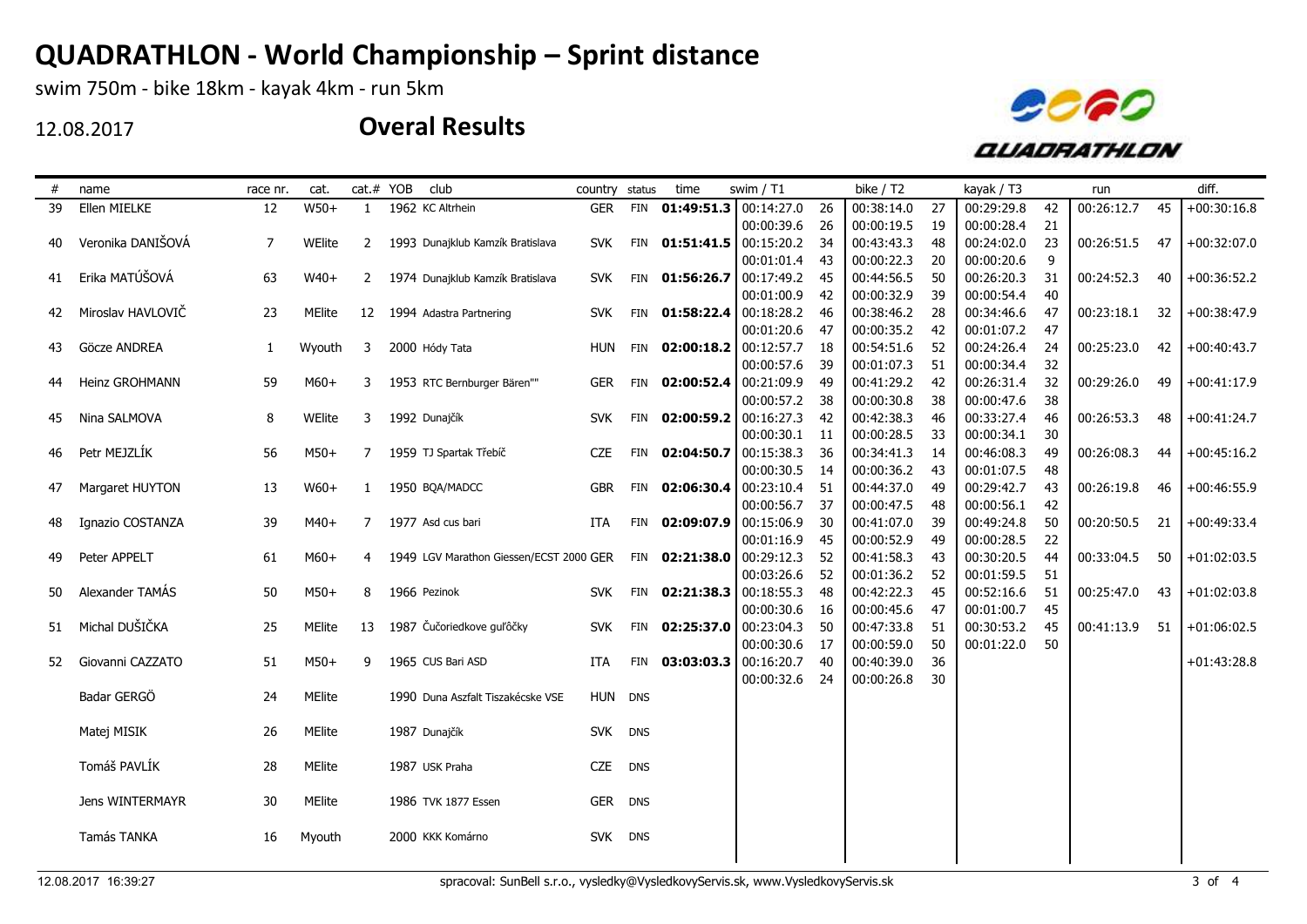swim 750m - bike 18km - kayak 4km - run 5km

12.08.2017



| #  | name              | race nr.     | cat.          |              | cat.# YOB | club                                    | country status |            | time             | swim / T1                   |    | bike / T2  |    | kayak / T3 |    | run        |    | diff.         |
|----|-------------------|--------------|---------------|--------------|-----------|-----------------------------------------|----------------|------------|------------------|-----------------------------|----|------------|----|------------|----|------------|----|---------------|
| 39 | Ellen MIELKE      | 12           | $W50+$        | 1            |           | 1962 KC Altrhein                        | <b>GER</b>     |            |                  | FIN 01:49:51.3 00:14:27.0   | 26 | 00:38:14.0 | 27 | 00:29:29.8 | 42 | 00:26:12.7 | 45 | $+00:30:16.8$ |
|    |                   |              |               |              |           |                                         |                |            |                  | 00:00:39.6                  | 26 | 00:00:19.5 | 19 | 00:00:28.4 | 21 |            |    |               |
| 40 | Veronika DANIŠOVÁ | 7            | WElite        | $\mathbf{2}$ |           | 1993 Dunajklub Kamzík Bratislava        | <b>SVK</b>     |            |                  | FIN $01:51:41.5$ 00:15:20.2 | 34 | 00:43:43.3 | 48 | 00:24:02.0 | 23 | 00:26:51.5 | 47 | $+00:32:07.0$ |
|    |                   |              |               |              |           |                                         |                |            |                  | 00:01:01.4                  | 43 | 00:00:22.3 | 20 | 00:00:20.6 | 9  |            |    |               |
| 41 | Erika MATÚŠOVÁ    | 63           | $W40+$        | $2^{\circ}$  |           | 1974 Dunajklub Kamzík Bratislava        | <b>SVK</b>     |            | FIN 01:56:26.7   | 00:17:49.2                  | 45 | 00:44:56.5 | 50 | 00:26:20.3 | 31 | 00:24:52.3 | 40 | $+00:36:52.2$ |
|    |                   |              |               |              |           |                                         |                |            |                  | 00:01:00.9                  | 42 | 00:00:32.9 | 39 | 00:00:54.4 | 40 |            |    |               |
| 42 | Miroslav HAVLOVIČ | 23           | MElite        | 12           |           | 1994 Adastra Partnering                 | <b>SVK</b>     |            | FIN $01:58:22.4$ | 00:18:28.2                  | 46 | 00:38:46.2 | 28 | 00:34:46.6 | 47 | 00:23:18.1 | 32 | $+00:38:47.9$ |
|    |                   |              |               |              |           |                                         |                |            |                  | 00:01:20.6                  | 47 | 00:00:35.2 | 42 | 00:01:07.2 | 47 |            |    |               |
| 43 | Göcze ANDREA      | $\mathbf{1}$ | Wyouth        | 3            |           | 2000 Hódy Tata                          | <b>HUN</b>     |            | FIN 02:00:18.2   | 00:12:57.7                  | 18 | 00:54:51.6 | 52 | 00:24:26.4 | 24 | 00:25:23.0 | 42 | $+00:40:43.7$ |
|    |                   |              |               |              |           |                                         |                |            |                  | 00:00:57.6                  | 39 | 00:01:07.3 | 51 | 00:00:34.4 | 32 |            |    |               |
| 44 | Heinz GROHMANN    | 59           | $M60+$        | 3            |           | 1953 RTC Bernburger Bären""             | <b>GER</b>     |            | FIN 02:00:52.4   | 00:21:09.9                  | 49 | 00:41:29.2 | 42 | 00:26:31.4 | 32 | 00:29:26.0 | 49 | $+00:41:17.9$ |
|    |                   |              |               |              |           |                                         |                |            |                  | 00:00:57.2                  | 38 | 00:00:30.8 | 38 | 00:00:47.6 | 38 |            |    |               |
| 45 | Nina SALMOVA      | 8            | WElite        | 3            |           | 1992 Dunajčík                           | <b>SVK</b>     |            |                  | FIN 02:00:59.2 00:16:27.3   | 42 | 00:42:38.3 | 46 | 00:33:27.4 | 46 | 00:26:53.3 | 48 | $+00:41:24.7$ |
|    |                   |              |               |              |           |                                         |                |            |                  | 00:00:30.1                  | 11 | 00:00:28.5 | 33 | 00:00:34.1 | 30 |            |    |               |
| 46 | Petr MEJZLÍK      | 56           | $M50+$        | 7            |           | 1959 TJ Spartak Třebíč                  | <b>CZE</b>     |            |                  | FIN $02:04:50.7$ 00:15:38.3 | 36 | 00:34:41.3 | 14 | 00:46:08.3 | 49 | 00:26:08.3 | 44 | $+00:45:16.2$ |
|    |                   |              |               |              |           |                                         |                |            |                  | 00:00:30.5                  | 14 | 00:00:36.2 | 43 | 00:01:07.5 | 48 |            |    |               |
| 47 | Margaret HUYTON   | 13           | $W60+$        | $\mathbf{1}$ |           | 1950 BQA/MADCC                          | <b>GBR</b>     |            |                  | FIN $02:06:30.4$ 00:23:10.4 | 51 | 00:44:37.0 | 49 | 00:29:42.7 | 43 | 00:26:19.8 | 46 | $+00:46:55.9$ |
|    |                   |              |               |              |           |                                         |                |            |                  | 00:00:56.7                  | 37 | 00:00:47.5 | 48 | 00:00:56.1 | 42 |            |    |               |
| 48 | Ignazio COSTANZA  | 39           | $M40+$        | $7^{\circ}$  |           | 1977 Asd cus bari                       | ITA            |            |                  | FIN 02:09:07.9 00:15:06.9   | 30 | 00:41:07.0 | 39 | 00:49:24.8 | 50 | 00:20:50.5 | 21 | $+00:49:33.4$ |
|    |                   |              |               |              |           |                                         |                |            |                  | 00:01:16.9                  | 45 | 00:00:52.9 | 49 | 00:00:28.5 | 22 |            |    |               |
| 49 | Peter APPELT      | 61           | $M60+$        | 4            |           | 1949 LGV Marathon Giessen/ECST 2000 GER |                |            | FIN 02:21:38.0   | 00:29:12.3                  | 52 | 00:41:58.3 | 43 | 00:30:20.5 | 44 | 00:33:04.5 | 50 | $+01:02:03.5$ |
|    |                   |              |               |              |           |                                         |                |            |                  | 00:03:26.6                  | 52 | 00:01:36.2 | 52 | 00:01:59.5 | 51 |            |    |               |
| 50 | Alexander TAMÁS   | 50           | $M50+$        | 8            |           | 1966 Pezinok                            | <b>SVK</b>     |            |                  | FIN 02:21:38.3 00:18:55.3   | 48 | 00:42:22.3 | 45 | 00:52:16.6 | 51 | 00:25:47.0 | 43 | $+01:02:03.8$ |
|    |                   |              |               |              |           |                                         |                |            |                  | 00:00:30.6                  | 16 | 00:00:45.6 | 47 | 00:01:00.7 | 45 |            |    |               |
| 51 | Michal DUŠIČKA    | 25           | <b>MElite</b> | 13           |           | 1987 Čučoriedkove guľôčky               | <b>SVK</b>     |            |                  | FIN 02:25:37.0 00:23:04.3   | 50 | 00:47:33.8 | 51 | 00:30:53.2 | 45 | 00:41:13.9 | 51 | $+01:06:02.5$ |
|    |                   |              |               |              |           |                                         |                |            |                  | 00:00:30.6                  | 17 | 00:00:59.0 | 50 | 00:01:22.0 | 50 |            |    |               |
| 52 | Giovanni CAZZATO  | 51           | $M50+$        | 9            |           | 1965 CUS Bari ASD                       | ITA            |            | FIN 03:03:03.3   | 00:16:20.7                  | 40 | 00:40:39.0 | 36 |            |    |            |    | $+01:43:28.8$ |
|    |                   |              |               |              |           |                                         |                |            |                  | 00:00:32.6                  | 24 | 00:00:26.8 | 30 |            |    |            |    |               |
|    | Badar GERGÖ       | 24           | MElite        |              |           | 1990 Duna Aszfalt Tiszakécske VSE       | HUN DNS        |            |                  |                             |    |            |    |            |    |            |    |               |
|    |                   |              |               |              |           |                                         |                |            |                  |                             |    |            |    |            |    |            |    |               |
|    | Matej MISIK       | 26           | MElite        |              |           | 1987 Dunajčík                           | <b>SVK</b>     | <b>DNS</b> |                  |                             |    |            |    |            |    |            |    |               |
|    |                   |              |               |              |           |                                         |                |            |                  |                             |    |            |    |            |    |            |    |               |
|    | Tomáš PAVLÍK      | 28           | MElite        |              |           | 1987 USK Praha                          | <b>CZE</b>     | <b>DNS</b> |                  |                             |    |            |    |            |    |            |    |               |
|    |                   |              |               |              |           |                                         |                |            |                  |                             |    |            |    |            |    |            |    |               |
|    | Jens WINTERMAYR   | 30           | MElite        |              |           | 1986 TVK 1877 Essen                     | <b>GER</b>     | <b>DNS</b> |                  |                             |    |            |    |            |    |            |    |               |
|    |                   |              |               |              |           |                                         |                |            |                  |                             |    |            |    |            |    |            |    |               |
|    | Tamás TANKA       | 16           | Myouth        |              |           | 2000 KKK Komárno                        | <b>SVK</b>     | <b>DNS</b> |                  |                             |    |            |    |            |    |            |    |               |
|    |                   |              |               |              |           |                                         |                |            |                  |                             |    |            |    |            |    |            |    |               |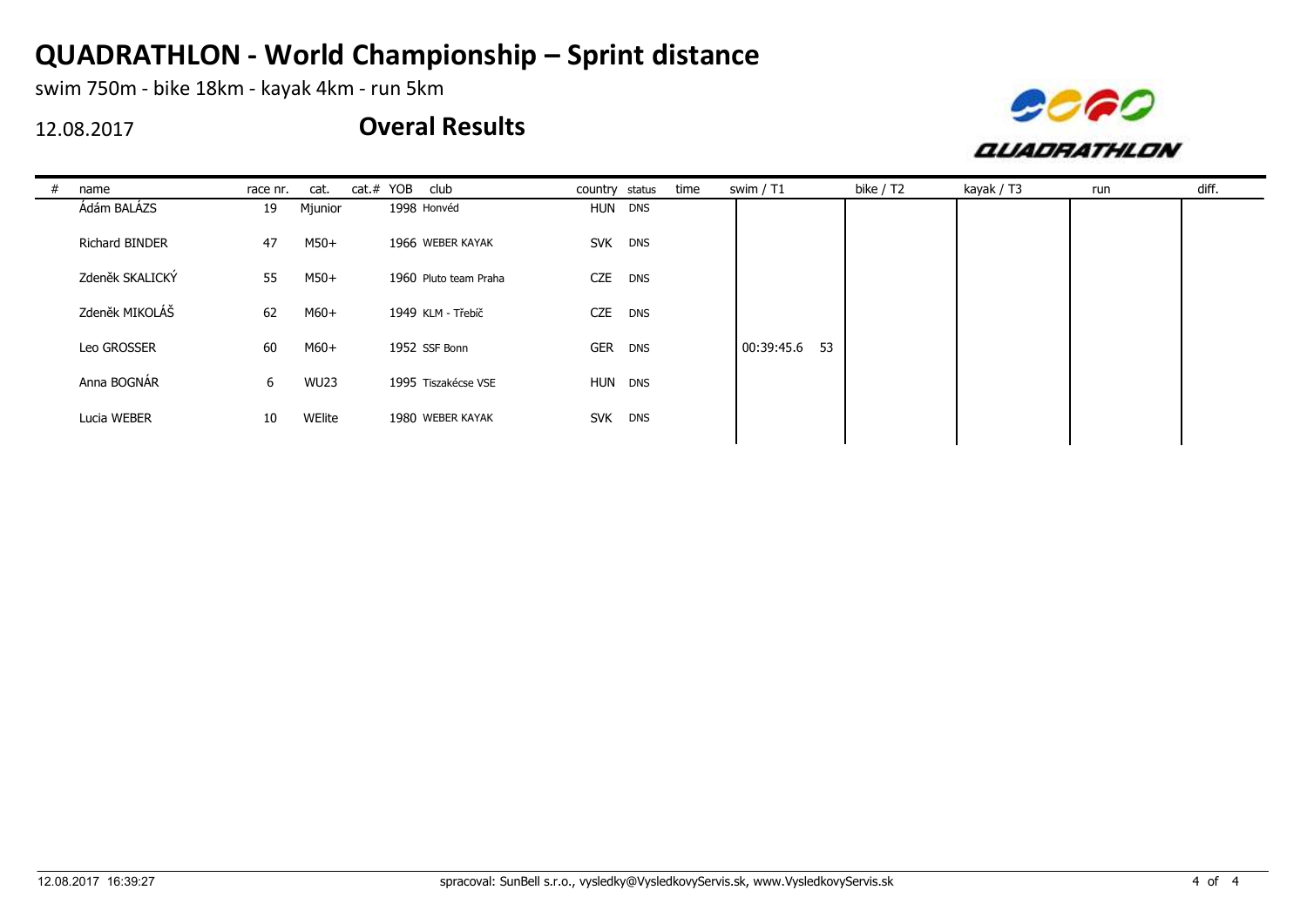swim 750m - bike 18km - kayak 4km - run 5km

12.08.2017



| name            | race nr. | cat.        | cat.# YOB<br>club     | country status |            | time | swim / T1        | bike / T2 | kayak / T3 | run | diff. |
|-----------------|----------|-------------|-----------------------|----------------|------------|------|------------------|-----------|------------|-----|-------|
| Ádám BALÁZS     | 19       | Mjunior     | 1998 Honvéd           | HUN DNS        |            |      |                  |           |            |     |       |
| Richard BINDER  | 47       | M50+        | 1966 WEBER KAYAK      | SVK DNS        |            |      |                  |           |            |     |       |
| Zdeněk SKALICKÝ | 55       | M50+        | 1960 Pluto team Praha | <b>CZE</b>     | <b>DNS</b> |      |                  |           |            |     |       |
| Zdeněk MIKOLÁŠ  | 62       | $M60+$      | 1949 KLM - Třebíč     | <b>CZE</b>     | <b>DNS</b> |      |                  |           |            |     |       |
| Leo GROSSER     | 60       | M60+        | 1952 SSF Bonn         | <b>GER</b>     | <b>DNS</b> |      | 53<br>00:39:45.6 |           |            |     |       |
| Anna BOGNÁR     | 6        | <b>WU23</b> | 1995 Tiszakécse VSE   | HUN DNS        |            |      |                  |           |            |     |       |
| Lucia WEBER     | 10       | WElite      | 1980 WEBER KAYAK      | SVK DNS        |            |      |                  |           |            |     |       |
|                 |          |             |                       |                |            |      |                  |           |            |     |       |